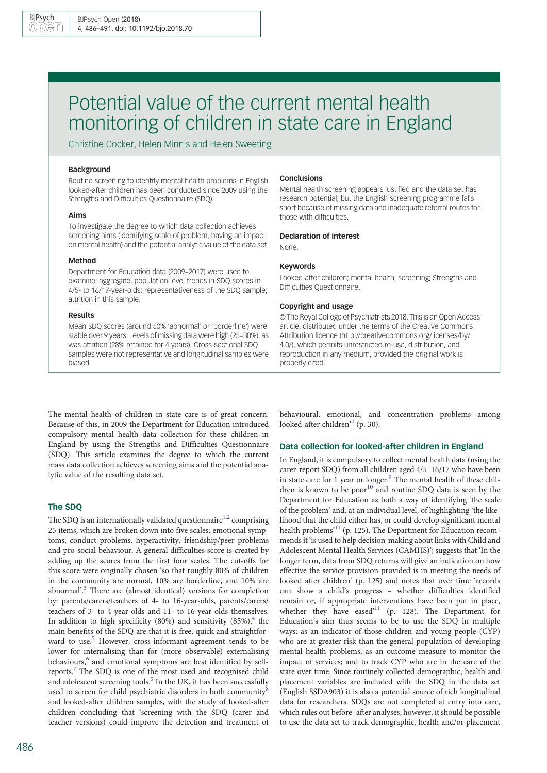# Potential value of the current mental health monitoring of children in state care in England

Christine Cocker, Helen Minnis and Helen Sweeting

## Background

Routine screening to identify mental health problems in English looked-after children has been conducted since 2009 using the Strengths and Difficulties Questionnaire (SDQ).

## Aims

To investigate the degree to which data collection achieves screening aims (identifying scale of problem, having an impact on mental health) and the potential analytic value of the data set.

#### Method

Department for Education data (2009–2017) were used to examine: aggregate, population-level trends in SDQ scores in 4/5- to 16/17-year-olds; representativeness of the SDQ sample; attrition in this sample.

#### Results

Mean SDQ scores (around 50% 'abnormal' or 'borderline') were stable over 9 years. Levels of missing data were high (25–30%), as was attrition (28% retained for 4 years). Cross-sectional SDQ samples were not representative and longitudinal samples were biased.

## Conclusions

Mental health screening appears justified and the data set has research potential, but the English screening programme falls short because of missing data and inadequate referral routes for those with difficulties.

#### Declaration of interest

None.

#### Keywords

Looked-after children; mental health; screening; Strengths and Difficulties Questionnaire.

#### Copyright and usage

© The Royal College of Psychiatrists 2018. This is an Open Access article, distributed under the terms of the Creative Commons Attribution licence (http://creativecommons.org/licenses/by/ 4.0/), which permits unrestricted re-use, distribution, and reproduction in any medium, provided the original work is properly cited.

The mental health of children in state care is of great concern. Because of this, in 2009 the Department for Education introduced compulsory mental health data collection for these children in England by using the Strengths and Difficulties Questionnaire (SDQ). This article examines the degree to which the current mass data collection achieves screening aims and the potential analytic value of the resulting data set.

# The SDQ

The SDQ is an internationally validated questionnaire<sup>[1,2](#page-4-0)</sup> comprising 25 items, which are broken down into five scales: emotional symptoms, conduct problems, hyperactivity, friendship/peer problems and pro-social behaviour. A general difficulties score is created by adding up the scores from the first four scales. The cut-offs for this score were originally chosen 'so that roughly 80% of children in the community are normal, 10% are borderline, and 10% are abnormal'. [3](#page-4-0) There are (almost identical) versions for completion by: parents/carers/teachers of 4- to 16-year-olds, parents/carers/ teachers of 3- to 4-year-olds and 11- to 16-year-olds themselves. In addition to high specificity (80%) and sensitivity  $(85\%)$ , the main benefits of the SDQ are that it is free, quick and straightfor-ward to use.<sup>[5](#page-4-0)</sup> However, cross-informant agreement tends to be lower for internalising than for (more observable) externalising behaviours,<sup>[6](#page-5-0)</sup> and emotional symptoms are best identified by selfreports.[7](#page-5-0) The SDQ is one of the most used and recognised child and adolescent screening tools. $<sup>5</sup>$  $<sup>5</sup>$  $<sup>5</sup>$  In the UK, it has been successfully</sup> used to screen for child psychiatric disorders in both community<sup>[8](#page-5-0)</sup> and looked-after children samples, with the study of looked-after children concluding that 'screening with the SDQ (carer and teacher versions) could improve the detection and treatment of

486

behavioural, emotional, and concentration problems among looked-after children' [4](#page-4-0) (p. 30).

# Data collection for looked-after children in England

In England, it is compulsory to collect mental health data (using the carer-report SDQ) from all children aged 4/5–16/17 who have been in state care for 1 year or longer.<sup>[9](#page-5-0)</sup> The mental health of these chil-dren is known to be poor<sup>[10](#page-5-0)</sup> and routine SDQ data is seen by the Department for Education as both a way of identifying 'the scale of the problem' and, at an individual level, of highlighting 'the likelihood that the child either has, or could develop significant mental health problems<sup>3[11](#page-5-0)</sup> (p. 125). The Department for Education recommends it 'is used to help decision-making about links with Child and Adolescent Mental Health Services (CAMHS)'; suggests that 'In the longer term, data from SDQ returns will give an indication on how effective the service provision provided is in meeting the needs of looked after children' (p. 125) and notes that over time 'records can show a child's progress – whether difficulties identified remain or, if appropriate interventions have been put in place, whether they have eased<sup>2[11](#page-5-0)</sup> (p. 128). The Department for Education's aim thus seems to be to use the SDQ in multiple ways: as an indicator of those children and young people (CYP) who are at greater risk than the general population of developing mental health problems; as an outcome measure to monitor the impact of services; and to track CYP who are in the care of the state over time. Since routinely collected demographic, health and placement variables are included with the SDQ in the data set (English SSDA903) it is also a potential source of rich longitudinal data for researchers. SDQs are not completed at entry into care, which rules out before–after analyses; however, it should be possible to use the data set to track demographic, health and/or placement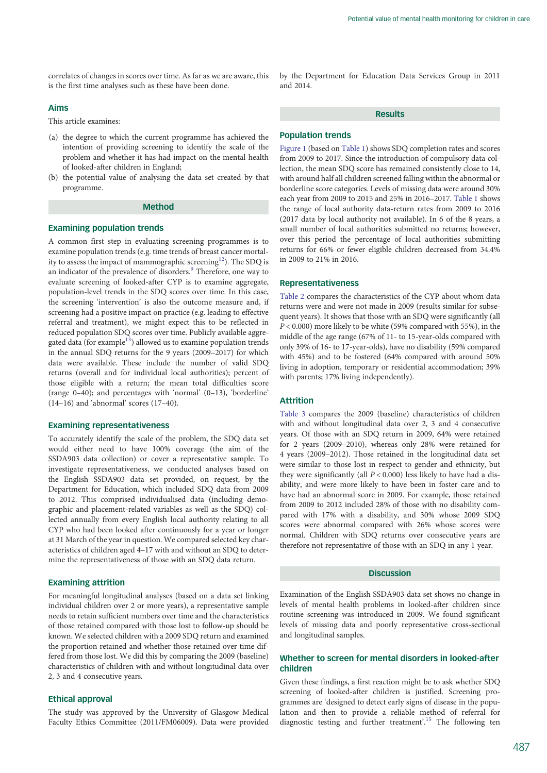correlates of changes in scores over time. As far as we are aware, this is the first time analyses such as these have been done.

## Aims

This article examines:

- (a) the degree to which the current programme has achieved the intention of providing screening to identify the scale of the problem and whether it has had impact on the mental health of looked-after children in England;
- (b) the potential value of analysing the data set created by that programme.

# Method

#### Examining population trends

A common first step in evaluating screening programmes is to examine population trends (e.g. time trends of breast cancer mortal-ity to assess the impact of mammographic screening<sup>[12](#page-5-0)</sup>). The SDQ is an indicator of the prevalence of disorders.<sup>[9](#page-5-0)</sup> Therefore, one way to evaluate screening of looked-after CYP is to examine aggregate, population-level trends in the SDQ scores over time. In this case, the screening 'intervention' is also the outcome measure and, if screening had a positive impact on practice (e.g. leading to effective referral and treatment), we might expect this to be reflected in reduced population SDQ scores over time. Publicly available aggregated data (for example $^{13}$ ) allowed us to examine population trends in the annual SDQ returns for the 9 years (2009–2017) for which data were available. These include the number of valid SDQ returns (overall and for individual local authorities); percent of those eligible with a return; the mean total difficulties score (range 0–40); and percentages with 'normal' (0–13), 'borderline' (14–16) and 'abnormal' scores (17–40).

# Examining representativeness

To accurately identify the scale of the problem, the SDQ data set would either need to have 100% coverage (the aim of the SSDA903 data collection) or cover a representative sample. To investigate representativeness, we conducted analyses based on the English SSDA903 data set provided, on request, by the Department for Education, which included SDQ data from 2009 to 2012. This comprised individualised data (including demographic and placement-related variables as well as the SDQ) collected annually from every English local authority relating to all CYP who had been looked after continuously for a year or longer at 31 March of the year in question. We compared selected key characteristics of children aged 4–17 with and without an SDQ to determine the representativeness of those with an SDQ data return.

## Examining attrition

For meaningful longitudinal analyses (based on a data set linking individual children over 2 or more years), a representative sample needs to retain sufficient numbers over time and the characteristics of those retained compared with those lost to follow-up should be known. We selected children with a 2009 SDQ return and examined the proportion retained and whether those retained over time differed from those lost. We did this by comparing the 2009 (baseline) characteristics of children with and without longitudinal data over 2, 3 and 4 consecutive years.

#### Ethical approval

The study was approved by the University of Glasgow Medical Faculty Ethics Committee (2011/FM06009). Data were provided by the Department for Education Data Services Group in 2011 and 2014.

## **Results**

## Population trends

[Figure 1](#page-2-0) (based on [Table 1\)](#page-2-0) shows SDQ completion rates and scores from 2009 to 2017. Since the introduction of compulsory data collection, the mean SDQ score has remained consistently close to 14, with around half all children screened falling within the abnormal or borderline score categories. Levels of missing data were around 30% each year from 2009 to 2015 and 25% in 2016–2017. [Table 1](#page-2-0) shows the range of local authority data-return rates from 2009 to 2016 (2017 data by local authority not available). In 6 of the 8 years, a small number of local authorities submitted no returns; however, over this period the percentage of local authorities submitting returns for 66% or fewer eligible children decreased from 34.4% in 2009 to 21% in 2016.

#### Representativeness

[Table 2](#page-3-0) compares the characteristics of the CYP about whom data returns were and were not made in 2009 (results similar for subsequent years). It shows that those with an SDQ were significantly (all  $P < 0.000$ ) more likely to be white (59% compared with 55%), in the middle of the age range (67% of 11- to 15-year-olds compared with only 39% of 16- to 17-year-olds), have no disability (59% compared with 45%) and to be fostered (64% compared with around 50% living in adoption, temporary or residential accommodation; 39% with parents; 17% living independently).

# Attrition

[Table 3](#page-4-0) compares the 2009 (baseline) characteristics of children with and without longitudinal data over 2, 3 and 4 consecutive years. Of those with an SDQ return in 2009, 64% were retained for 2 years (2009–2010), whereas only 28% were retained for 4 years (2009–2012). Those retained in the longitudinal data set were similar to those lost in respect to gender and ethnicity, but they were significantly (all  $P < 0.000$ ) less likely to have had a disability, and were more likely to have been in foster care and to have had an abnormal score in 2009. For example, those retained from 2009 to 2012 included 28% of those with no disability compared with 17% with a disability, and 30% whose 2009 SDQ scores were abnormal compared with 26% whose scores were normal. Children with SDQ returns over consecutive years are therefore not representative of those with an SDQ in any 1 year.

# Discussion

Examination of the English SSDA903 data set shows no change in levels of mental health problems in looked-after children since routine screening was introduced in 2009. We found significant levels of missing data and poorly representative cross-sectional and longitudinal samples.

# Whether to screen for mental disorders in looked-after children

Given these findings, a first reaction might be to ask whether SDQ screening of looked-after children is justified. Screening programmes are 'designed to detect early signs of disease in the population and then to provide a reliable method of referral for diagnostic testing and further treatment'. [15](#page-5-0) The following ten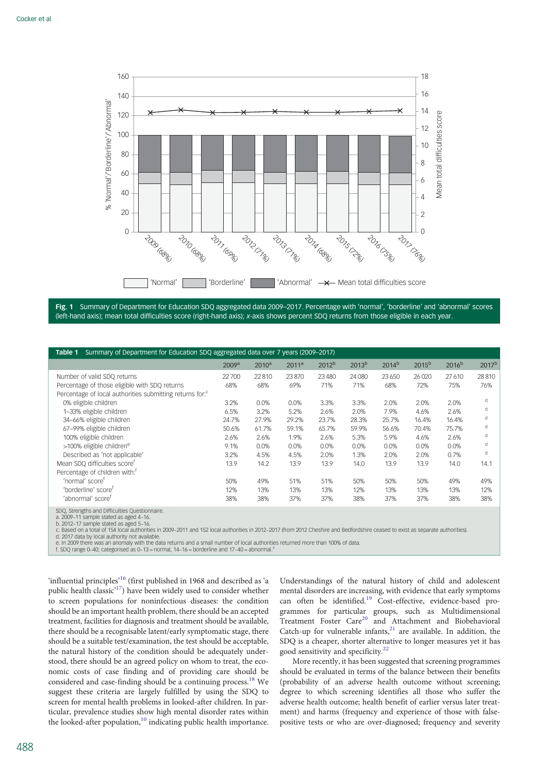<span id="page-2-0"></span>

Fig. 1 Summary of Department for Education SDQ aggregated data 2009–2017. Percentage with 'normal', 'borderline' and 'abnormal' scores (left-hand axis); mean total difficulties score (right-hand axis); x-axis shows percent SDQ returns from those eligible in each year.

| Summary of Department for Education SDQ aggregated data over 7 years (2009–2017)<br>Table 1 |                   |                   |                   |                   |                   |            |                   |                   |                   |
|---------------------------------------------------------------------------------------------|-------------------|-------------------|-------------------|-------------------|-------------------|------------|-------------------|-------------------|-------------------|
|                                                                                             | 2009 <sup>a</sup> | 2010 <sup>a</sup> | 2011 <sup>a</sup> | 2012 <sup>b</sup> | 2013 <sup>b</sup> | $2014^{b}$ | 2015 <sup>b</sup> | 2016 <sup>b</sup> | 2017 <sup>b</sup> |
| Number of valid SDQ returns                                                                 | 22700             | 22810             | 23870             | 23 4 80           | 24 08 0           | 23 6 50    | 26 0 20           | 27610             | 28810             |
| Percentage of those eligible with SDQ returns                                               | 68%               | 68%               | 69%               | 71%               | 71%               | 68%        | 72%               | 75%               | 76%               |
| Percentage of local authorities submitting returns for: <sup>c</sup>                        |                   |                   |                   |                   |                   |            |                   |                   |                   |
| 0% eligible children                                                                        | 3.2%              | $0.0\%$           | 0.0%              | 3.3%              | 3.3%              | 2.0%       | 2.0%              | 2.0%              | d                 |
| 1-33% eligible children                                                                     | 6.5%              | 3.2%              | 5.2%              | 2.6%              | 2.0%              | 7.9%       | 4.6%              | 2.6%              | d                 |
| 34-66% eligible children                                                                    | 24.7%             | 27.9%             | 29.2%             | 23.7%             | 28.3%             | 25.7%      | 16.4%             | 16.4%             | d                 |
| 67-99% eligible children                                                                    | 50.6%             | 61.7%             | 59.1%             | 65.7%             | 59.9%             | 56.6%      | 70.4%             | 75.7%             | d                 |
| 100% eligible children                                                                      | 2.6%              | 2.6%              | 1.9%              | 2.6%              | 5.3%              | 5.9%       | 4.6%              | 2.6%              | d                 |
| >100% eligible children <sup>e</sup>                                                        | 9.1%              | 0.0%              | 0.0%              | 0.0%              | 0.0%              | 0.0%       | 0.0%              | 0.0%              | d                 |
| Described as 'not applicable'                                                               | 3.2%              | 4.5%              | 4.5%              | 2.0%              | 1.3%              | 2.0%       | 2.0%              | 0.7%              | d                 |
| Mean SDQ difficulties score <sup>t</sup>                                                    | 13.9              | 14.2              | 13.9              | 13.9              | 14.0              | 13.9       | 13.9              | 14.0              | 14.1              |
| Percentage of children with: <sup>f</sup>                                                   |                   |                   |                   |                   |                   |            |                   |                   |                   |
| 'normal' score <sup>f</sup>                                                                 | 50%               | 49%               | 51%               | 51%               | 50%               | 50%        | 50%               | 49%               | 49%               |
| 'borderline' score <sup>t</sup>                                                             | 12%               | 13%               | 13%               | 13%               | 12%               | 13%        | 13%               | 13%               | 12%               |
| 'abnormal' score <sup>f</sup>                                                               | 38%               | 38%               | 37%               | 37%               | 38%               | 37%        | 37%               | 38%               | 38%               |

SDQ, Strengths and Difficulties Questionnaire.

a. 2009–11 sample stated as aged 4–16. b. 2012–17 sample stated as aged 5–16.

c. Based on a total of 154 local authorities in 2009–2011 and 152 local authorities in 2012–2017 (from 2012 Cheshire and Bedfordshire ceased to exist as separate authorities).

d. 2017 data by local authority not available.

e. In 2009 there was an anomaly with the data returns and a small number of local authorities returned more than 100% of data.<br>f. SDQ range 0–40; categorised as 0–1[3](#page-4-0) = normal, 14–16 = borderline and 17–40 = abnormal.<sup>3</sup>

'influential principles'<sup>[16](#page-5-0)</sup> (first published in 1968 and described as 'a public health classic<sup>17</sup>) have been widely used to consider whether to screen populations for noninfectious diseases: the condition should be an important health problem, there should be an accepted treatment, facilities for diagnosis and treatment should be available, there should be a recognisable latent/early symptomatic stage, there should be a suitable test/examination, the test should be acceptable, the natural history of the condition should be adequately understood, there should be an agreed policy on whom to treat, the economic costs of case finding and of providing care should be considered and case-finding should be a continuing process.[18](#page-5-0) We suggest these criteria are largely fulfilled by using the SDQ to screen for mental health problems in looked-after children. In particular, prevalence studies show high mental disorder rates within the looked-after population,<sup>10</sup> indicating public health importance.

Understandings of the natural history of child and adolescent mental disorders are increasing, with evidence that early symptoms can often be identified.<sup>[19](#page-5-0)</sup> Cost-effective, evidence-based programmes for particular groups, such as Multidimensional  $S$ <br>Treatment Foster Care<sup>[20](#page-5-0)</sup> and Attachment and Biobehavioral Catch-up for vulnerable infants, $21$  are available. In addition, the SDQ is a cheaper, shorter alternative to longer measures yet it has good sensitivity and specificity.<sup>[22](#page-5-0)</sup>

More recently, it has been suggested that screening programmes should be evaluated in terms of the balance between their benefits (probability of an adverse health outcome without screening; degree to which screening identifies all those who suffer the adverse health outcome; health benefit of earlier versus later treatment) and harms (frequency and experience of those with falsepositive tests or who are over-diagnosed; frequency and severity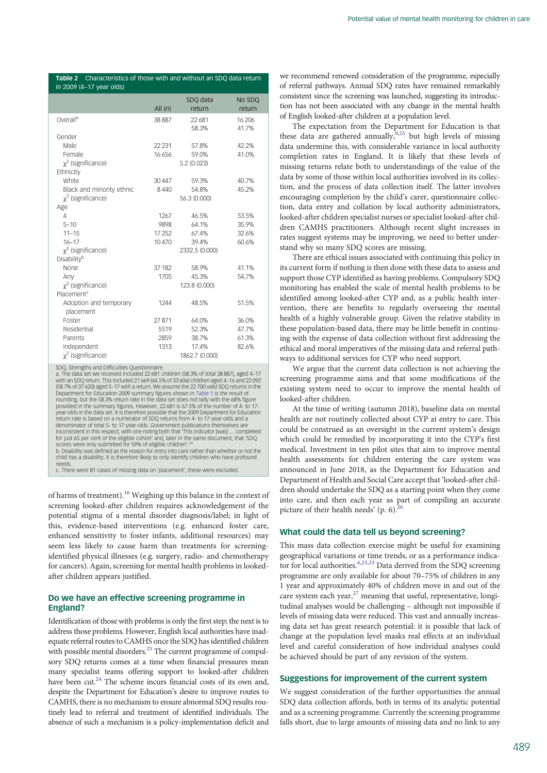<span id="page-3-0"></span>

| Characteristics of those with and without an SDQ data return<br>Table 2<br>in 2009 (4-17 year olds) |                |                |         |  |  |  |
|-----------------------------------------------------------------------------------------------------|----------------|----------------|---------|--|--|--|
|                                                                                                     |                | SDQ data       | No SDQ  |  |  |  |
|                                                                                                     | All $(n)$      | return         | return  |  |  |  |
| Overall <sup>a</sup>                                                                                | 38887          | 22681          | 16 20 6 |  |  |  |
|                                                                                                     |                | 58.3%          | 41.7%   |  |  |  |
| Gender                                                                                              |                |                |         |  |  |  |
| Male                                                                                                | 22 2 31        | 57.8%          | 42.2%   |  |  |  |
| Female                                                                                              | 16656          | 59.0%          | 41.0%   |  |  |  |
| $\chi^2$ (significance)                                                                             |                | 5.2(0.023)     |         |  |  |  |
| Ethnicity                                                                                           |                |                |         |  |  |  |
| White                                                                                               | 30 4 47        | 59.3%          | 40.7%   |  |  |  |
| Black and minority ethnic                                                                           | 8440           | 54.8%          | 45.2%   |  |  |  |
| $\chi^2$ (significance)                                                                             |                | 56.3 (0.000)   |         |  |  |  |
| Age                                                                                                 |                |                |         |  |  |  |
| 4                                                                                                   | 1267           | 46.5%          | 53.5%   |  |  |  |
| $5 - 10$                                                                                            | 9898           | 64.1%          | 35.9%   |  |  |  |
| $11 - 15$                                                                                           | 17 25 2        | 67.4%          | 32.6%   |  |  |  |
| $16 - 17$                                                                                           | 10470          | 39.4%          | 60.6%   |  |  |  |
| $\chi^2$ (significance)                                                                             | 2332.5 (0.000) |                |         |  |  |  |
| Disability <sup>b</sup>                                                                             |                |                |         |  |  |  |
| None                                                                                                | 37 182         | 58.9%          | 41.1%   |  |  |  |
| Any                                                                                                 | 1705           | 45.3%          | 54.7%   |  |  |  |
| $\chi^2$ (significance)                                                                             |                | 123.8 (0.000)  |         |  |  |  |
| Placement <sup>c</sup>                                                                              |                |                |         |  |  |  |
| Adoption and temporary<br>placement                                                                 | 1244           | 48.5%          | 51.5%   |  |  |  |
| Foster                                                                                              | 27871          | 64.0%          | 36.0%   |  |  |  |
| Residential                                                                                         | 5519           | 52.3%          | 47.7%   |  |  |  |
| Parents                                                                                             | 2859           | 38.7%          | 61.3%   |  |  |  |
| Independent                                                                                         | 1313           | 17.4%          | 82.6%   |  |  |  |
| $\chi^2$ (significance)                                                                             |                | 1862.7 (0.000) |         |  |  |  |

SDQ, Strengths and Difficulties Questionnaire. a. The data set we received included 22 681 children (58.3% of total 38 887), aged 4–17 with an SDQ return. This included 21 669 (64.5% of 33 606) children aged 4–16 and 22 092 (58.7% of 37 620) aged 5–17 with a return. We assume the 22 700 valid SDQ returns in the Department for Education 2009 summary figures shown in [Table 1](#page-2-0) is the result of rounding, but the 58.3% return rate in the data set does not tally with the 68% figure provided in the summary figures. However, 22 681 is 67.5% of the number of 4- to 17- year-olds in the data set. It is therefore possible that the 2009 Department for Education return rate is based on a numerator of SDQ returns from 4- to 17-year-olds and a denominator of total 5- to 17-year-olds. Government publications themselves are inconsistent in this respect, with one noting both that 'This indicator [was] … completed for just 65 per cent of the eligible cohort' and, later in the same document, that 'SDQ scores were only submitted for 59% of eligible children'.<sup>[14](#page-5-0)</sup> b. Disability was defined as the reason for entry into care rather than whether or not the child has a disability. It is therefore likely to only identify children who have profound needs. c. There were 81 cases of missing data on 'placement', these were excluded.

of harms of treatment).<sup>[16](#page-5-0)</sup> Weighing up this balance in the context of screening looked-after children requires acknowledgement of the potential stigma of a mental disorder diagnosis/label; in light of this, evidence-based interventions (e.g. enhanced foster care, enhanced sensitivity to foster infants, additional resources) may seem less likely to cause harm than treatments for screeningidentified physical illnesses (e.g. surgery, radio- and chemotherapy for cancers). Again, screening for mental health problems in lookedafter children appears justified.

# Do we have an effective screening programme in England?

Identification of those with problems is only the first step; the next is to address those problems. However, English local authorities have inadequate referral routes to CAMHS once the SDQ has identified children with possible mental disorders.<sup>23</sup> The current programme of compulsory SDQ returns comes at a time when financial pressures mean many specialist teams offering support to looked-after children have been cut.<sup>24</sup> The scheme incurs financial costs of its own and, despite the Department for Education's desire to improve routes to CAMHS, there is no mechanism to ensure abnormal SDQ results routinely lead to referral and treatment of identified individuals. The absence of such a mechanism is a policy-implementation deficit and

we recommend renewed consideration of the programme, especially of referral pathways. Annual SDQ rates have remained remarkably consistent since the screening was launched, suggesting its introduction has not been associated with any change in the mental health of English looked-after children at a population level.

The expectation from the Department for Education is that these data are gathered annually,  $9,25$  $9,25$  $9,25$  but high levels of missing data undermine this, with considerable variance in local authority completion rates in England. It is likely that these levels of missing returns relate both to understandings of the value of the data by some of those within local authorities involved in its collection, and the process of data collection itself. The latter involves encouraging completion by the child's carer, questionnaire collection, data entry and collation by local authority administrators, looked-after children specialist nurses or specialist looked-after children CAMHS practitioners. Although recent slight increases in rates suggest systems may be improving, we need to better understand why so many SDQ scores are missing.

There are ethical issues associated with continuing this policy in its current form if nothing is then done with these data to assess and support those CYP identified as having problems. Compulsory SDQ monitoring has enabled the scale of mental health problems to be identified among looked-after CYP and, as a public health intervention, there are benefits to regularly overseeing the mental health of a highly vulnerable group. Given the relative stability in these population-based data, there may be little benefit in continuing with the expense of data collection without first addressing the ethical and moral imperatives of the missing data and referral pathways to additional services for CYP who need support.

We argue that the current data collection is not achieving the screening programme aims and that some modifications of the existing system need to occur to improve the mental health of looked-after children.

At the time of writing (autumn 2018), baseline data on mental health are not routinely collected about CYP at entry to care. This could be construed as an oversight in the current system's design which could be remedied by incorporating it into the CYP's first medical. Investment in ten pilot sites that aim to improve mental health assessments for children entering the care system was announced in June 2018, as the Department for Education and Department of Health and Social Care accept that 'looked-after children should undertake the SDQ as a starting point when they come into care, and then each year as part of compiling an accurate picture of their health needs' (p. 6).<sup>2</sup>

# What could the data tell us beyond screening?

This mass data collection exercise might be useful for examining geographical variations or time trends, or as a performance indica-tor for local authorities.<sup>[4](#page-4-0)[,23,25](#page-5-0)</sup> Data derived from the SDQ screening programme are only available for about 70–75% of children in any 1 year and approximately 40% of children move in and out of the care system each year,[27](#page-5-0) meaning that useful, representative, longitudinal analyses would be challenging – although not impossible if levels of missing data were reduced. This vast and annually increasing data set has great research potential: it is possible that lack of change at the population level masks real effects at an individual level and careful consideration of how individual analyses could be achieved should be part of any revision of the system.

#### Suggestions for improvement of the current system

We suggest consideration of the further opportunities the annual SDQ data collection affords, both in terms of its analytic potential and as a screening programme. Currently the screening programme falls short, due to large amounts of missing data and no link to any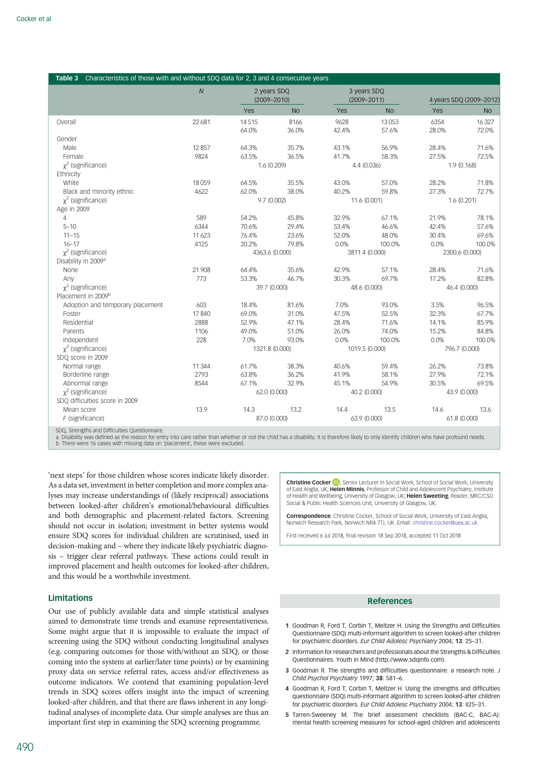<span id="page-4-0"></span>

| Table 3 Characteristics of those with and without SDQ data for 2, 3 and 4 consecutive years |                |             |                 |            |                 |                         |                |  |  |
|---------------------------------------------------------------------------------------------|----------------|-------------|-----------------|------------|-----------------|-------------------------|----------------|--|--|
|                                                                                             | $\overline{N}$ | 2 years SDQ |                 |            | 3 years SDQ     |                         |                |  |  |
|                                                                                             |                |             | $(2009 - 2010)$ |            | $(2009 - 2011)$ | 4 years SDQ (2009-2012) |                |  |  |
|                                                                                             |                | Yes         | <b>No</b>       | <b>Yes</b> | <b>No</b>       | Yes                     | <b>No</b>      |  |  |
| Overall                                                                                     | 22 681         | 14515       | 8166            | 9628       | 13053           | 6354                    | 16327          |  |  |
|                                                                                             |                | 64.0%       | 36.0%           | 42.4%      | 57.6%           | 28.0%                   | 72.0%          |  |  |
| Gender                                                                                      |                |             |                 |            |                 |                         |                |  |  |
| Male                                                                                        | 12857          | 64.3%       | 35.7%           | 43.1%      | 56.9%           | 28.4%                   | 71.6%          |  |  |
| Female                                                                                      | 9824           | 63.5%       | 36.5%           | 41.7%      | 58.3%           | 27.5%                   | 72.5%          |  |  |
| $\chi^2$ (significance)                                                                     |                |             | 1.6 (0.209)     |            | 4.4 (0.036)     |                         | 1.9(0.168)     |  |  |
| Ethnicity                                                                                   |                |             |                 |            |                 |                         |                |  |  |
| White                                                                                       | 18059          | 64.5%       | 35.5%           | 43.0%      | 57.0%           | 28.2%                   | 71.8%          |  |  |
| Black and minority ethnic                                                                   | 4622           | 62.0%       | 38.0%           | 40.2%      | 59.8%           | 27.3%                   | 72.7%          |  |  |
| $\chi^2$ (significance)                                                                     |                |             | 9.7 (0.002)     |            | 11.6 (0.001)    | 1.6(0.201)              |                |  |  |
| Age in 2009                                                                                 |                |             |                 |            |                 |                         |                |  |  |
| 4                                                                                           | 589            | 54.2%       | 45.8%           | 32.9%      | 67.1%           | 21.9%                   | 78.1%          |  |  |
| $5 - 10$                                                                                    | 6344           | 70.6%       | 29.4%           | 53.4%      | 46.6%           | 42.4%                   | 57.6%          |  |  |
| $11 - 15$                                                                                   | 11 6 23        | 76.4%       | 23.6%           | 52.0%      | 48.0%           | 30.4%                   | 69.6%          |  |  |
| $16 - 17$                                                                                   | 4125           | 20.2%       | 79.8%           | 0.0%       | 100.0%          | 0.0%                    | 100.0%         |  |  |
| $\chi^2$ (significance)                                                                     |                |             | 4363.6 (0.000)  |            | 3811.4 (0.000)  |                         | 2300.6 (0.000) |  |  |
| Disability in 2009 <sup>a</sup>                                                             |                |             |                 |            |                 |                         |                |  |  |
| None                                                                                        | 21 908         | 64.4%       | 35.6%           | 42.9%      | 57.1%           | 28.4%                   | 71.6%          |  |  |
| Any                                                                                         | 773            | 53.3%       | 46.7%           | 30.3%      | 69.7%           | 17.2%                   | 82.8%          |  |  |
| $\chi^2$ (significance)                                                                     |                |             | 39.7 (0.000)    |            | 48.6 (0.000)    |                         | 46.4 (0.000)   |  |  |
| Placement in 2009b                                                                          |                |             |                 |            |                 |                         |                |  |  |
| Adoption and temporary placement                                                            | 603            | 18.4%       | 81.6%           | 7.0%       | 93.0%           | 3.5%                    | 96.5%          |  |  |
| Foster                                                                                      | 17840          | 69.0%       | 31.0%           | 47.5%      | 52.5%           | 32.3%                   | 67.7%          |  |  |
| Residential                                                                                 | 2888           | 52.9%       | 47.1%           | 28.4%      | 71.6%           | 14.1%                   | 85.9%          |  |  |
| Parents                                                                                     | 1106           | 49.0%       | 51.0%           | 26.0%      | 74.0%           | 15.2%                   | 84.8%          |  |  |
| Independent                                                                                 | 228            | 7.0%        | 93.0%           | 0.0%       | 100.0%          | 0.0%                    | 100.0%         |  |  |
| $\chi^2$ (significance)                                                                     |                |             | 1321.8 (0.000)  |            | 1019.5 (0.000)  |                         | 796.7 (0.000)  |  |  |
| SDQ score in 2009                                                                           |                |             |                 |            |                 |                         |                |  |  |
| Normal range                                                                                | 11344          | 61.7%       | 38.3%           | 40.6%      | 59.4%           | 26.2%                   | 73.8%          |  |  |
| Borderline range                                                                            | 2793           | 63.8%       | 36.2%           | 41.9%      | 58.1%           | 27.9%                   | 72.1%          |  |  |
| Abnormal range                                                                              | 8544           | 67.1%       | 32.9%           | 45.1%      | 54.9%           | 30.5%                   | 69.5%          |  |  |
| $\chi^2$ (significance)                                                                     |                |             | 62.0 (0.000)    |            | 40.2 (0.000)    |                         | 43.9 (0.000)   |  |  |
| SDQ difficulties score in 2009                                                              |                |             |                 |            |                 |                         |                |  |  |
| Mean score                                                                                  | 13.9           | 14.3        | 13.2            | 14.4       | 13.5            | 14.6                    | 13.6           |  |  |
| $F$ (significance)                                                                          |                |             | 87.0 (0.000)    |            | 63.9 (0.000)    |                         | 61.8 (0.000)   |  |  |
| CDO Ctrangthe and Difficulties Questionnaire                                                |                |             |                 |            |                 |                         |                |  |  |

SDQ, Strengths and Difficulties Questionnaire.<br>a. Disability was defined as the reason for entry into care rather than whether or not the child has a disability. It is therefore likely to only identify children who have pr

'next steps' for those children whose scores indicate likely disorder. As a data set, investment in better completion and more complex analyses may increase understandings of (likely reciprocal) associations between looked-after children's emotional/behavioural difficulties and both demographic and placement-related factors. Screening should not occur in isolation; investment in better systems would ensure SDQ scores for individual children are scrutinised, used in decision-making and – where they indicate likely psychiatric diagnosis – trigger clear referral pathways. These actions could result in improved placement and health outcomes for looked-after children, and this would be a worthwhile investment.

# Limitations

Our use of publicly available data and simple statistical analyses aimed to demonstrate time trends and examine representativeness. Some might argue that it is impossible to evaluate the impact of screening using the SDQ without conducting longitudinal analyses (e.g. comparing outcomes for those with/without an SDQ, or those coming into the system at earlier/later time points) or by examining proxy data on service referral rates, access and/or effectiveness as outcome indicators. We contend that examining population-level trends in SDQ scores offers insight into the impact of screening looked-after children, and that there are flaws inherent in any longitudinal analyses of incomplete data. Our simple analyses are thus an important first step in examining the SDQ screening programme.

**Christine Cocker ID**, Senior Lecturer in Social Work, School of Social Work, University of East Anglia, UK; Helen Minnis, Professor of Child and Adolescent Psychiatry, Institute of Health and Wellbeing, University of Glasgow, UK; Helen Sweeting, Reader, MRC/CSO Social & Public Health Sciences Unit, University of Glasgow, UK.

Correspondence: Christine Cocker, School of Social Work, University of East Anglia, Norwich Research Park, Norwich NR4 7TJ, UK. Email: [christine.cocker@uea.ac.uk](mailto:christine.cocker@uea.ac.uk)

First received 6 Jul 2018, final revision 18 Sep 2018, accepted 11 Oct 2018

### **References**

- 1 Goodman R, Ford T, Corbin T, Meltzer H. Using the Strengths and Difficulties Questionnaire (SDQ) multi-informant algorithm to screen looked-after children for psychiatric disorders. Eur Child Adolesc Psychiatry 2004; 13: 25–31.
- 2 Information for researchers and professionals about the Strengths & Difficulties Questionnaires. Youth in Mind (http://www.sdqinfo.com).
- 3 Goodman R. The strengths and difficulties questionnaire: a research note. J Child Psychol Psychiatry 1997; 38: 581–6.
- 4 Goodman R, Ford T, Corbin T, Meltzer H. Using the strengths and difficulties questionnaire (SDQ) multi-informant algorithm to screen looked-after children for psychiatric disorders. Eur Child Adolesc Psychiatry 2004; 13: II25–31.
- 5 Tarren-Sweeney M. The brief assessment checklists (BAC-C, BAC-A): mental health screening measures for school-aged children and adolescents